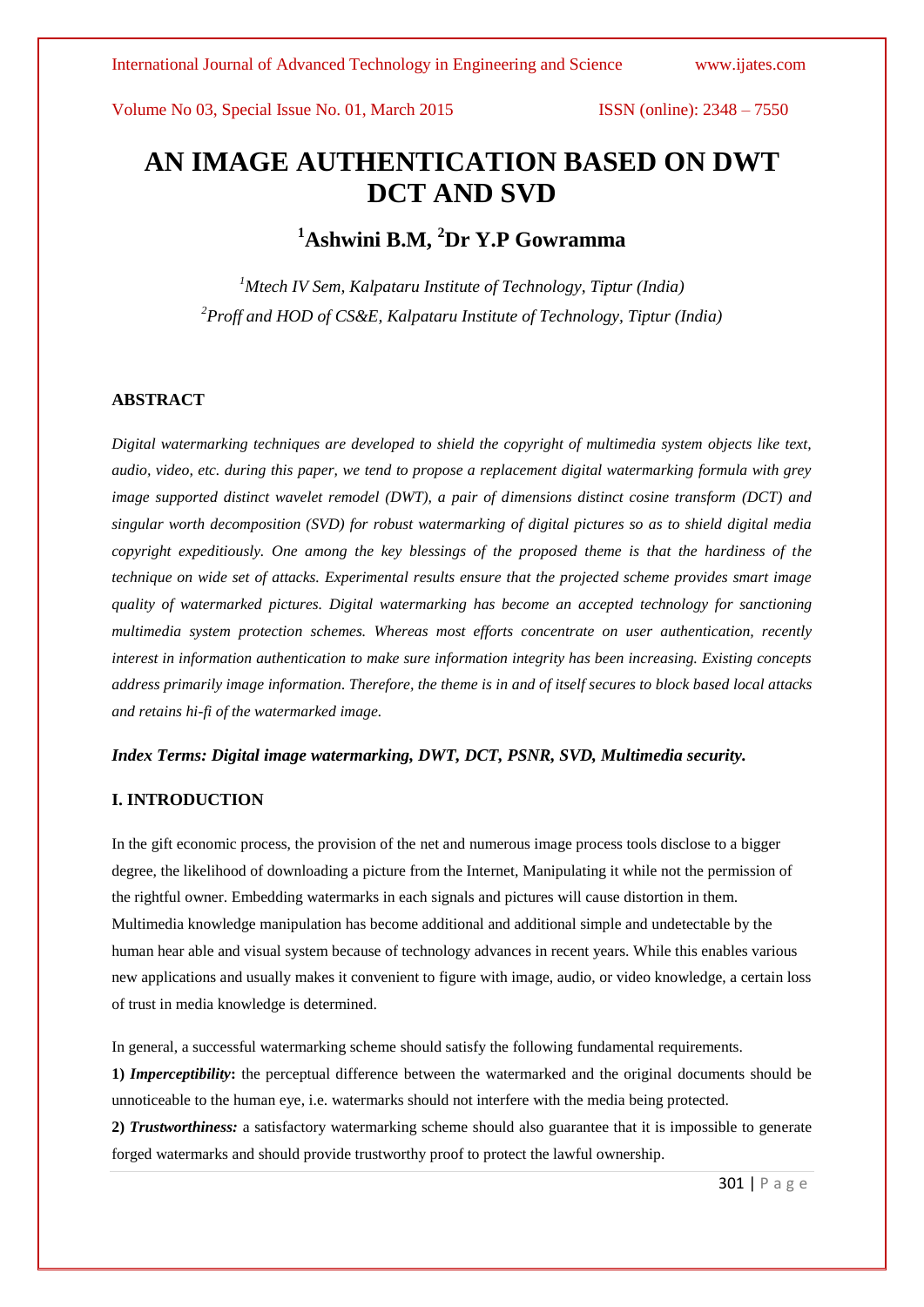# **AN IMAGE AUTHENTICATION BASED ON DWT DCT AND SVD**

# **<sup>1</sup>Ashwini B.M, <sup>2</sup>Dr Y.P Gowramma**

*<sup>1</sup>Mtech IV Sem, Kalpataru Institute of Technology, Tiptur (India) <sup>2</sup>Proff and HOD of CS&E, Kalpataru Institute of Technology, Tiptur (India)*

# **ABSTRACT**

*Digital watermarking techniques are developed to shield the copyright of multimedia system objects like text, audio, video, etc. during this paper, we tend to propose a replacement digital watermarking formula with grey image supported distinct wavelet remodel (DWT), a pair of dimensions distinct cosine transform (DCT) and singular worth decomposition (SVD) for robust watermarking of digital pictures so as to shield digital media copyright expeditiously. One among the key blessings of the proposed theme is that the hardiness of the technique on wide set of attacks. Experimental results ensure that the projected scheme provides smart image quality of watermarked pictures. Digital watermarking has become an accepted technology for sanctioning multimedia system protection schemes. Whereas most efforts concentrate on user authentication, recently interest in information authentication to make sure information integrity has been increasing. Existing concepts address primarily image information. Therefore, the theme is in and of itself secures to block based local attacks and retains hi-fi of the watermarked image.*

*Index Terms: Digital image watermarking, DWT, DCT, PSNR, SVD, Multimedia security.*

# **I. INTRODUCTION**

In the gift economic process, the provision of the net and numerous image process tools disclose to a bigger degree, the likelihood of downloading a picture from the Internet, Manipulating it while not the permission of the rightful owner. Embedding watermarks in each signals and pictures will cause distortion in them. Multimedia knowledge manipulation has become additional and additional simple and undetectable by the human hear able and visual system because of technology advances in recent years. While this enables various new applications and usually makes it convenient to figure with image, audio, or video knowledge, a certain loss of trust in media knowledge is determined.

In general, a successful watermarking scheme should satisfy the following fundamental requirements.

**1)** *Imperceptibility***:** the perceptual difference between the watermarked and the original documents should be unnoticeable to the human eye, i.e. watermarks should not interfere with the media being protected.

**2)** *Trustworthiness:* a satisfactory watermarking scheme should also guarantee that it is impossible to generate forged watermarks and should provide trustworthy proof to protect the lawful ownership.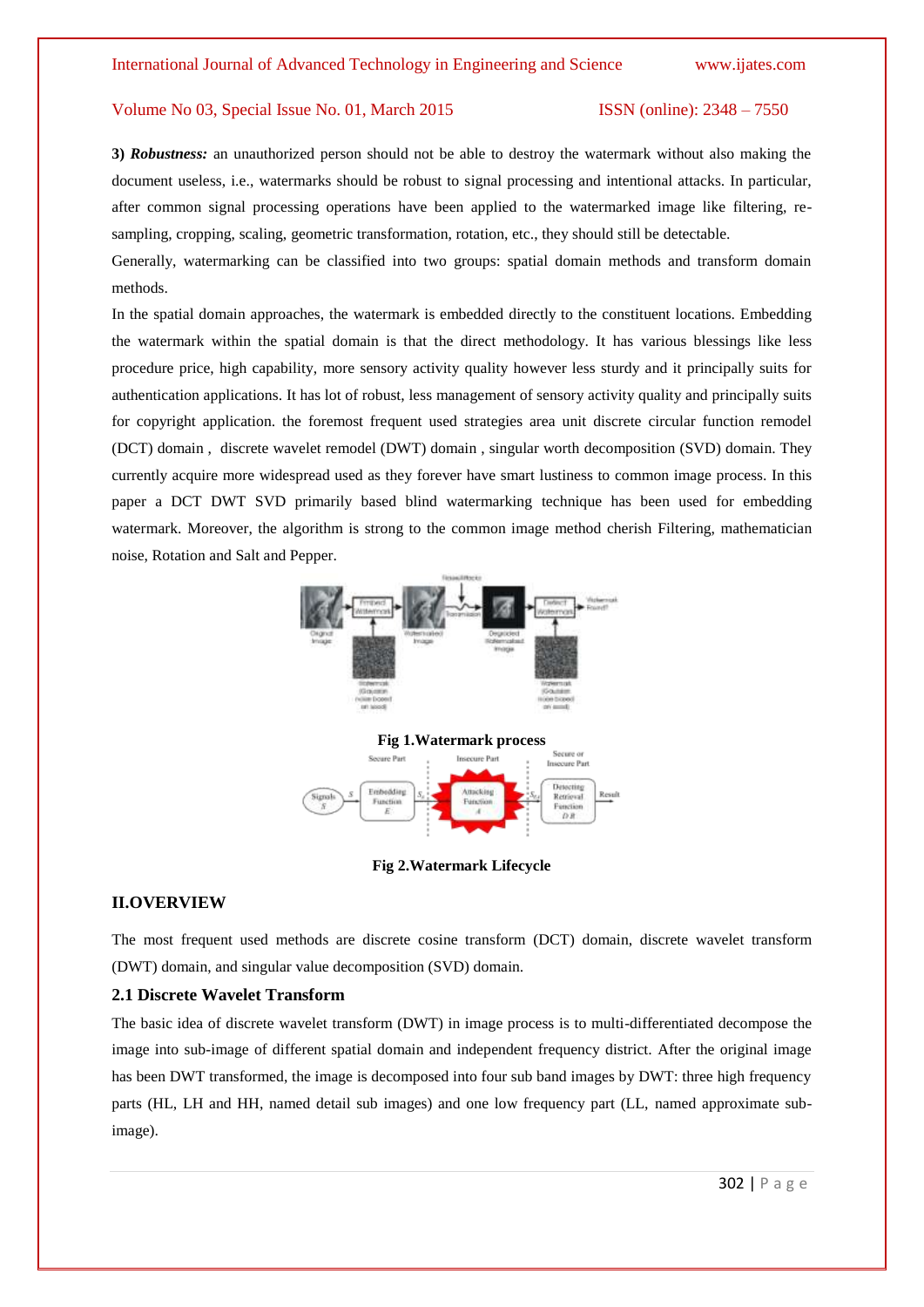**3)** *Robustness:* an unauthorized person should not be able to destroy the watermark without also making the document useless, i.e., watermarks should be robust to signal processing and intentional attacks. In particular, after common signal processing operations have been applied to the watermarked image like filtering, resampling, cropping, scaling, geometric transformation, rotation, etc., they should still be detectable.

Generally, watermarking can be classified into two groups: spatial domain methods and transform domain methods.

In the spatial domain approaches, the watermark is embedded directly to the constituent locations. Embedding the watermark within the spatial domain is that the direct methodology. It has various blessings like less procedure price, high capability, more sensory activity quality however less sturdy and it principally suits for authentication applications. It has lot of robust, less management of sensory activity quality and principally suits for copyright application. the foremost frequent used strategies area unit discrete circular function remodel (DCT) domain , discrete wavelet remodel (DWT) domain , singular worth decomposition (SVD) domain. They currently acquire more widespread used as they forever have smart lustiness to common image process. In this paper a DCT DWT SVD primarily based blind watermarking technique has been used for embedding watermark. Moreover, the algorithm is strong to the common image method cherish Filtering, mathematician noise, Rotation and Salt and Pepper.



**Fig 2.Watermark Lifecycle**

### **II.OVERVIEW**

The most frequent used methods are discrete cosine transform (DCT) domain, discrete wavelet transform (DWT) domain, and singular value decomposition (SVD) domain.

# **2.1 Discrete Wavelet Transform**

The basic idea of discrete wavelet transform (DWT) in image process is to multi-differentiated decompose the image into sub-image of different spatial domain and independent frequency district. After the original image has been DWT transformed, the image is decomposed into four sub band images by DWT: three high frequency parts (HL, LH and HH, named detail sub images) and one low frequency part (LL, named approximate subimage).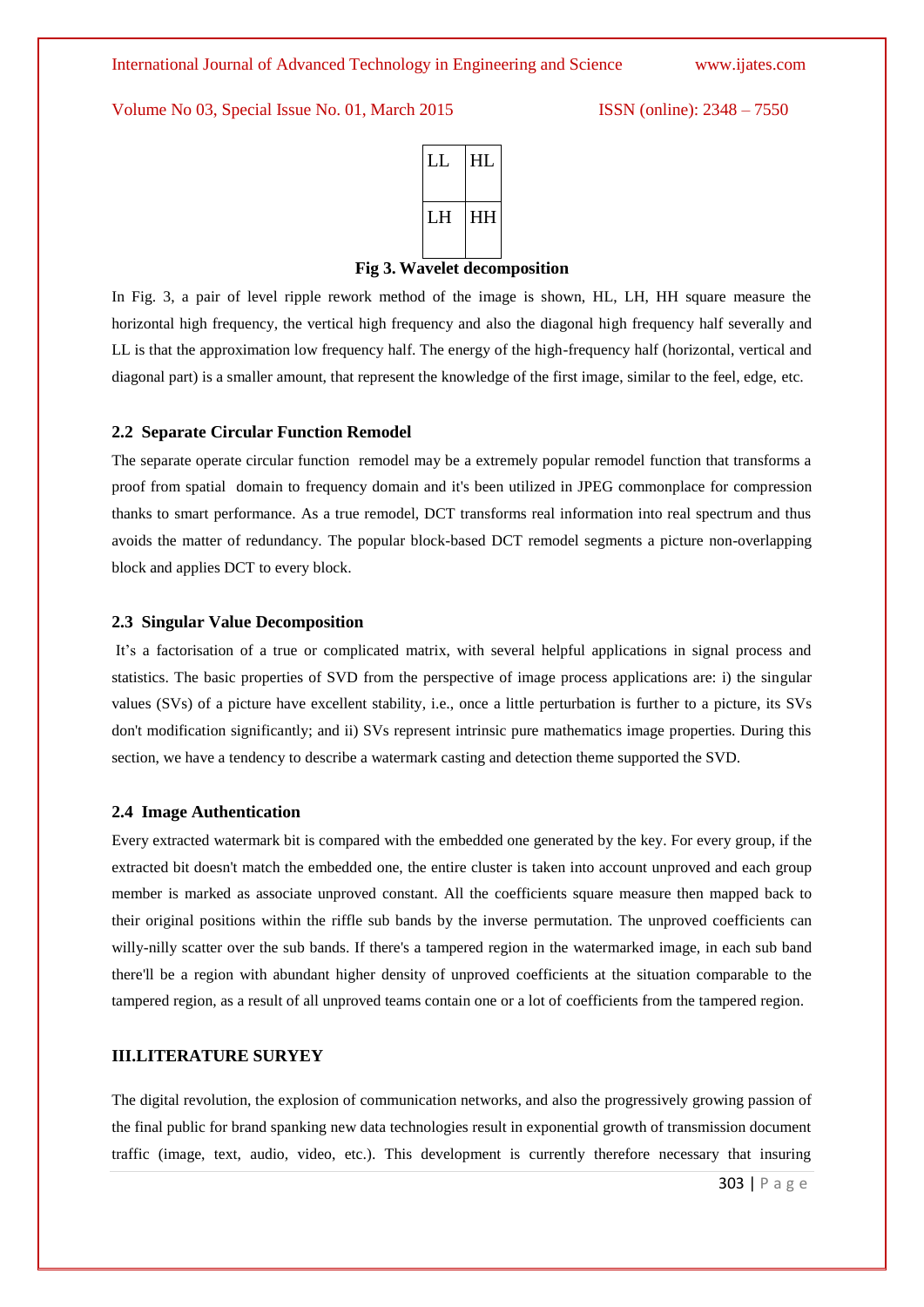

#### **Fig 3. Wavelet decomposition**

In Fig. 3, a pair of level ripple rework method of the image is shown, HL, LH, HH square measure the horizontal high frequency, the vertical high frequency and also the diagonal high frequency half severally and LL is that the approximation low frequency half. The energy of the high-frequency half (horizontal, vertical and diagonal part) is a smaller amount, that represent the knowledge of the first image, similar to the feel, edge, etc.

## **2.2 Separate Circular Function Remodel**

The separate operate circular function remodel may be a extremely popular remodel function that transforms a proof from spatial domain to frequency domain and it's been utilized in JPEG commonplace for compression thanks to smart performance. As a true remodel, DCT transforms real information into real spectrum and thus avoids the matter of redundancy. The popular block-based DCT remodel segments a picture non-overlapping block and applies DCT to every block.

#### **2.3 Singular Value Decomposition**

It's a factorisation of a true or complicated matrix, with several helpful applications in signal process and statistics. The basic properties of SVD from the perspective of image process applications are: i) the singular values (SVs) of a picture have excellent stability, i.e., once a little perturbation is further to a picture, its SVs don't modification significantly; and ii) SVs represent intrinsic pure mathematics image properties. During this section, we have a tendency to describe a watermark casting and detection theme supported the SVD.

# **2.4 Image Authentication**

Every extracted watermark bit is compared with the embedded one generated by the key. For every group, if the extracted bit doesn't match the embedded one, the entire cluster is taken into account unproved and each group member is marked as associate unproved constant. All the coefficients square measure then mapped back to their original positions within the riffle sub bands by the inverse permutation. The unproved coefficients can willy-nilly scatter over the sub bands. If there's a tampered region in the watermarked image, in each sub band there'll be a region with abundant higher density of unproved coefficients at the situation comparable to the tampered region, as a result of all unproved teams contain one or a lot of coefficients from the tampered region.

# **III.LITERATURE SURYEY**

The digital revolution, the explosion of communication networks, and also the progressively growing passion of the final public for brand spanking new data technologies result in exponential growth of transmission document traffic (image, text, audio, video, etc.). This development is currently therefore necessary that insuring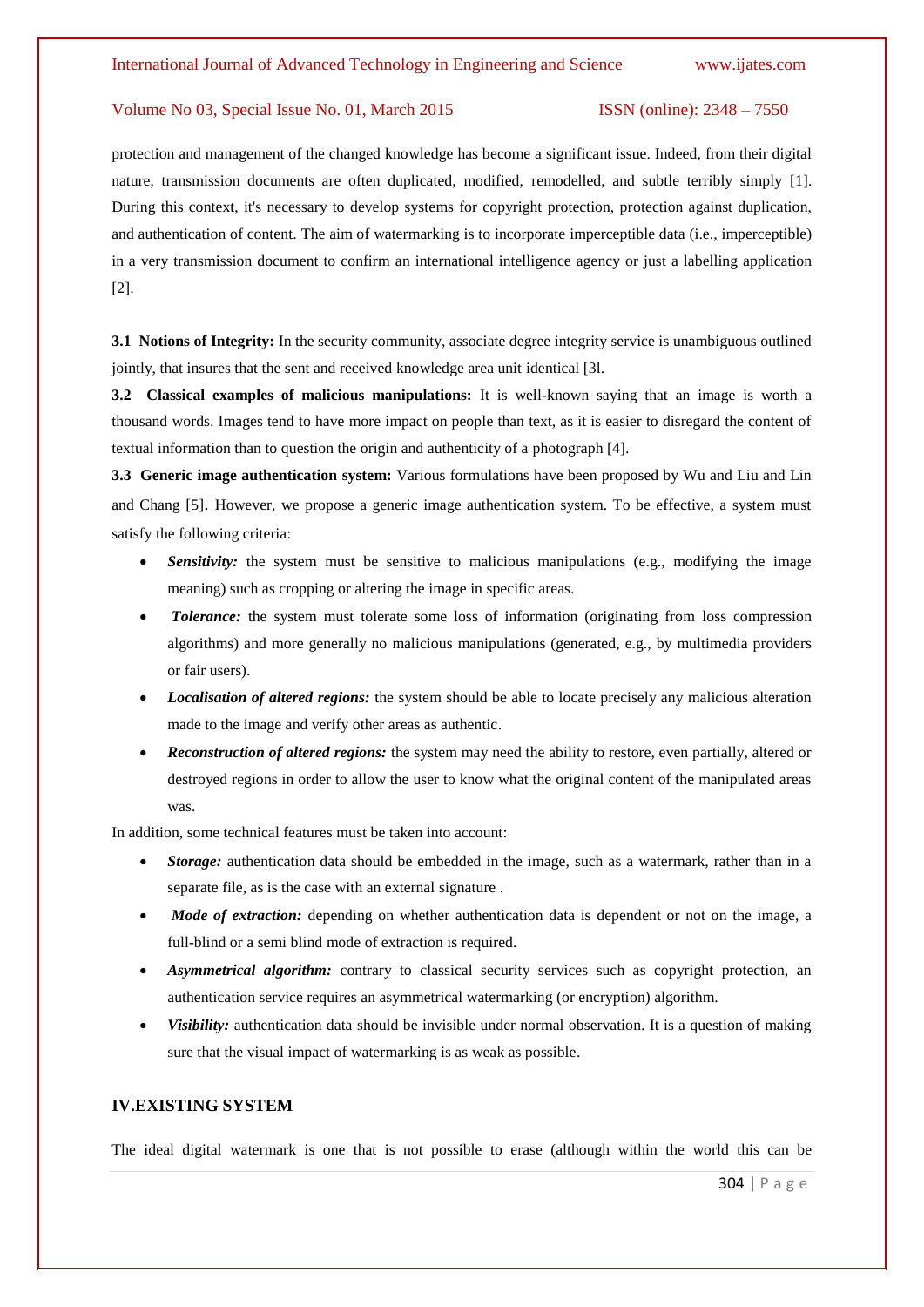protection and management of the changed knowledge has become a significant issue. Indeed, from their digital nature, transmission documents are often duplicated, modified, remodelled, and subtle terribly simply [1]. During this context, it's necessary to develop systems for copyright protection, protection against duplication, and authentication of content. The aim of watermarking is to incorporate imperceptible data (i.e., imperceptible) in a very transmission document to confirm an international intelligence agency or just a labelling application [2].

**3.1 Notions of Integrity:** In the security community, associate degree integrity service is unambiguous outlined jointly, that insures that the sent and received knowledge area unit identical [3l.

**3.2 Classical examples of malicious manipulations:** It is well-known saying that an image is worth a thousand words. Images tend to have more impact on people than text, as it is easier to disregard the content of textual information than to question the origin and authenticity of a photograph [4].

**3.3 Generic image authentication system:** Various formulations have been proposed by Wu and Liu and Lin and Chang [5]. However, we propose a generic image authentication system. To be effective, a system must satisfy the following criteria:

- **Sensitivity:** the system must be sensitive to malicious manipulations (e.g., modifying the image meaning) such as cropping or altering the image in specific areas.
- *Tolerance:* the system must tolerate some loss of information (originating from loss compression algorithms) and more generally no malicious manipulations (generated, e.g., by multimedia providers or fair users).
- *Localisation of altered regions:* the system should be able to locate precisely any malicious alteration made to the image and verify other areas as authentic.
- *Reconstruction of altered regions:* the system may need the ability to restore, even partially, altered or destroyed regions in order to allow the user to know what the original content of the manipulated areas was.

In addition, some technical features must be taken into account:

- *Storage:* authentication data should be embedded in the image, such as a watermark, rather than in a separate file, as is the case with an external signature .
- *Mode of extraction:* depending on whether authentication data is dependent or not on the image, a full-blind or a semi blind mode of extraction is required.
- *Asymmetrical algorithm:* contrary to classical security services such as copyright protection, an authentication service requires an asymmetrical watermarking (or encryption) algorithm.
- *Visibility:* authentication data should be invisible under normal observation. It is a question of making sure that the visual impact of watermarking is as weak as possible.

# **IV.EXISTING SYSTEM**

The ideal digital watermark is one that is not possible to erase (although within the world this can be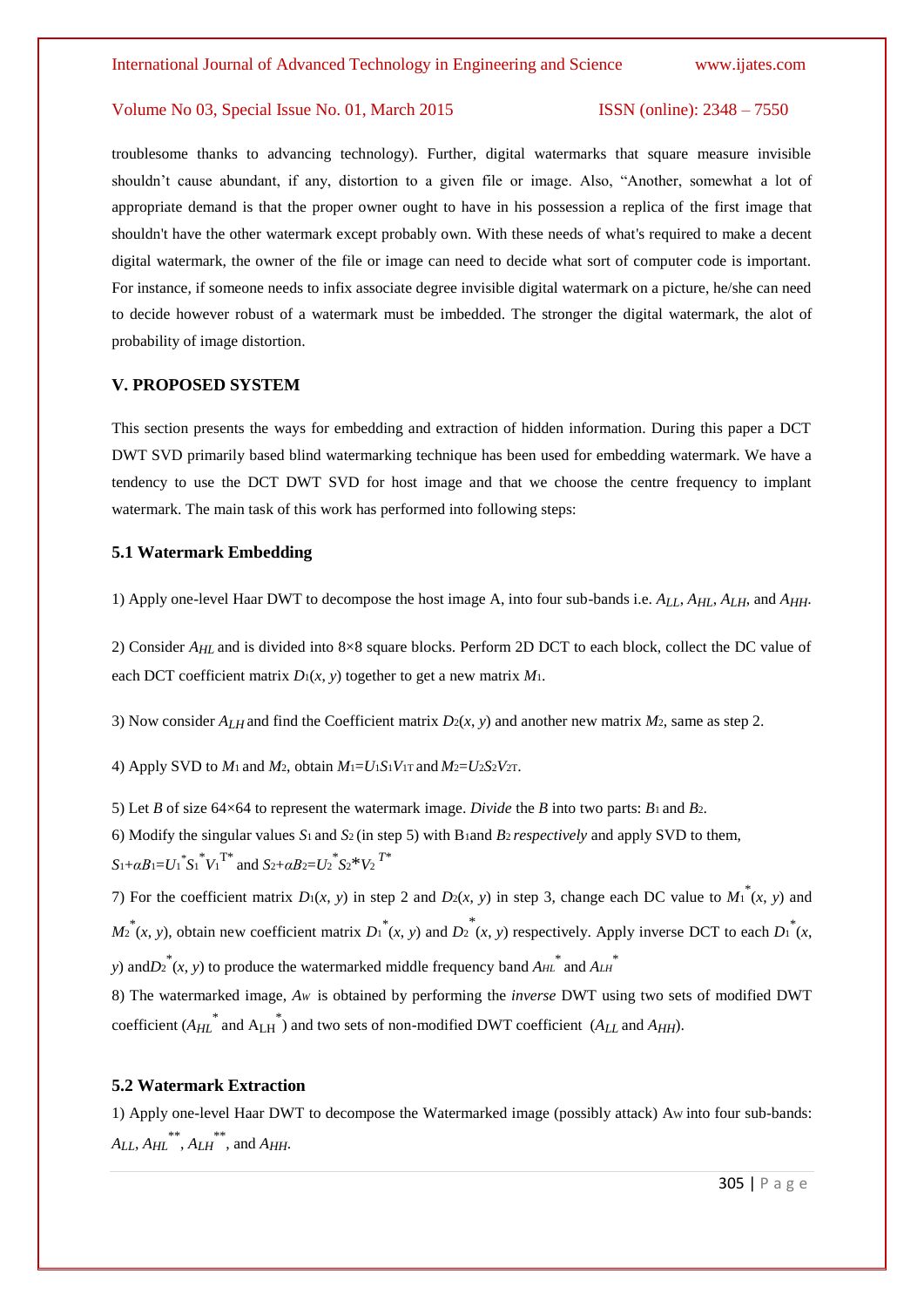troublesome thanks to advancing technology). Further, digital watermarks that square measure invisible shouldn't cause abundant, if any, distortion to a given file or image. Also, "Another, somewhat a lot of appropriate demand is that the proper owner ought to have in his possession a replica of the first image that shouldn't have the other watermark except probably own. With these needs of what's required to make a decent digital watermark, the owner of the file or image can need to decide what sort of computer code is important. For instance, if someone needs to infix associate degree invisible digital watermark on a picture, he/she can need to decide however robust of a watermark must be imbedded. The stronger the digital watermark, the alot of probability of image distortion.

# **V. PROPOSED SYSTEM**

This section presents the ways for embedding and extraction of hidden information. During this paper a DCT DWT SVD primarily based blind watermarking technique has been used for embedding watermark. We have a tendency to use the DCT DWT SVD for host image and that we choose the centre frequency to implant watermark. The main task of this work has performed into following steps:

## **5.1 Watermark Embedding**

1) Apply one-level Haar DWT to decompose the host image A, into four sub-bands i.e. *ALL*, *AHL*, *ALH*, and *AHH*.

2) Consider *A<sub>HL</sub>* and is divided into 8×8 square blocks. Perform 2D DCT to each block, collect the DC value of each DCT coefficient matrix  $D_1(x, y)$  together to get a new matrix  $M_1$ .

3) Now consider  $A_{LH}$  and find the Coefficient matrix  $D_2(x, y)$  and another new matrix  $M_2$ , same as step 2.

4) Apply SVD to  $M_1$  and  $M_2$ , obtain  $M_1 = U_1 S_1 V_1$  and  $M_2 = U_2 S_2 V_2$ .

5) Let *B* of size 64×64 to represent the watermark image. *Divide* the *B* into two parts: *B*1 and *B*2. 6) Modify the singular values *S*1 and *S*2 (in step 5) with B1and *B*2 *respectively* and apply SVD to them,  $S_1 + \alpha B_1 = U_1^* {S_1}^* {V_1}^{T*}$  and  $S_2 + \alpha B_2 = U_2^* {S_2}^* {V_2}^{T*}$ 

7) For the coefficient matrix  $D_1(x, y)$  in step 2 and  $D_2(x, y)$  in step 3, change each DC value to  $M_1^*(x, y)$  and  $M_2^*(x, y)$ , obtain new coefficient matrix  $D_1^*(x, y)$  and  $D_2^*(x, y)$  respectively. Apply inverse DCT to each  $D_1^*(x, y)$ *y*) and  $D_2^*(x, y)$  to produce the watermarked middle frequency band  $A_{HL}^*$  and  $A_{LH}^*$ 

8) The watermarked image, *A<sup>W</sup>* is obtained by performing the *inverse* DWT using two sets of modified DWT coefficient  $(A_{HL}^*$  and  $A_{LH}^*$ ) and two sets of non-modified DWT coefficient  $(A_{LL}$  and  $A_{HH}$ ).

#### **5.2 Watermark Extraction**

1) Apply one-level Haar DWT to decompose the Watermarked image (possibly attack) AW into four sub-bands:  $A_{LL}$ ,  $A_{HL}$ <sup>\*\*</sup>,  $A_{LH}$ <sup>\*\*</sup>, and  $A_{HH}$ .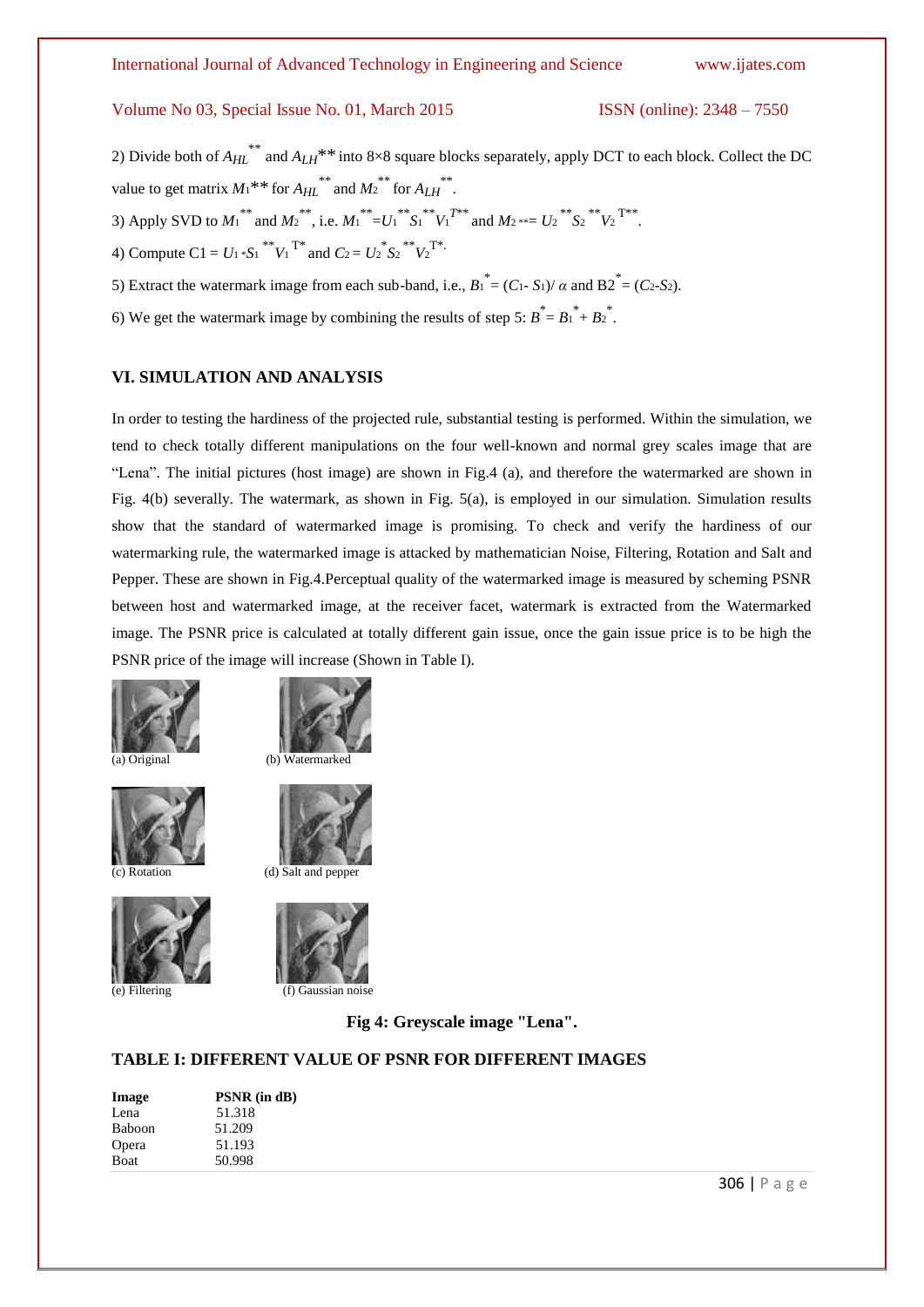3) Apply SVD to  $M_1$ <sup>\*\*</sup> and  $M_2$ <sup>\*\*</sup>, i.e.  $M_1$ <sup>\*\*</sup>= $U_1$ <sup>\*\*</sup> $S_1$ <sup>\*</sup> $V_1$ <sup>T\*\*</sup> and  $M_2$ \*\*= $U_2$ <sup>\*\*</sup> $S_2$ <sup>\*\*</sup> $V_2$ <sup>T\*\*</sup>.

5) Extract the watermark image from each sub-band, i.e.,  $B_1^* = (C_1 - S_1)/\alpha$  and  $B_2^* = (C_2 - S_2)$ .

# Volume No 03, Special Issue No. 01, March 2015 ISSN (online): 2348 – 7550

value to get matrix  $M_1$ <sup>\*\*</sup> for  $A_{HL}$ <sup>\*\*</sup> and  $M_2$ <sup>\*\*</sup> for  $A_{LH}$ <sup>\*\*</sup>.

4) Compute C1 =  $U_1 * S_1 * V_1^T$  and  $C_2 = U_2 * S_2 * V_2^T$ .

6) We get the watermark image by combining the results of step 5:  $B^* = B_1^* + B_2^*$ . **VI. SIMULATION AND ANALYSIS** In order to testing the hardiness of the projected rule, substantial testing is performed. Within the simulation, we tend to check totally different manipulations on the four well-known and normal grey scales image that are "Lena". The initial pictures (host image) are shown in Fig.4 (a), and therefore the watermarked are shown in

Fig. 4(b) severally. The watermark, as shown in Fig. 5(a), is employed in our simulation. Simulation results show that the standard of watermarked image is promising. To check and verify the hardiness of our watermarking rule, the watermarked image is attacked by mathematician Noise, Filtering, Rotation and Salt and Pepper. These are shown in Fig.4.Perceptual quality of the watermarked image is measured by scheming PSNR between host and watermarked image, at the receiver facet, watermark is extracted from the Watermarked image. The PSNR price is calculated at totally different gain issue, once the gain issue price is to be high the PSNR price of the image will increase (Shown in Table I).

2) Divide both of *AHL* \*\* and *ALH*\*\* into 8×8 square blocks separately, apply DCT to each block. Collect the DC









(c) Rotation (d) Salt and pepper



**Fig 4: Greyscale image "Lena".**

## **TABLE I: DIFFERENT VALUE OF PSNR FOR DIFFERENT IMAGES**

| Image  | PSNR (in dB) |
|--------|--------------|
| Lena   | 51.318       |
| Baboon | 51.209       |
| Opera  | 51.193       |
| Boat   | 50.998       |